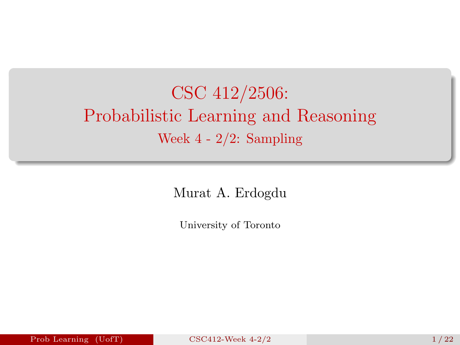# <span id="page-0-0"></span>CSC 412/2506: Probabilistic Learning and Reasoning Week 4 - 2/2: Sampling

Murat A. Erdogdu

University of Toronto

Prob Learning (UofT)  $CSC412-Week 4-2/2$  1/22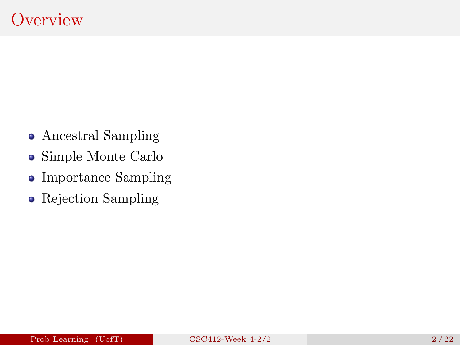- Ancestral Sampling
- Simple Monte Carlo
- Importance Sampling
- Rejection Sampling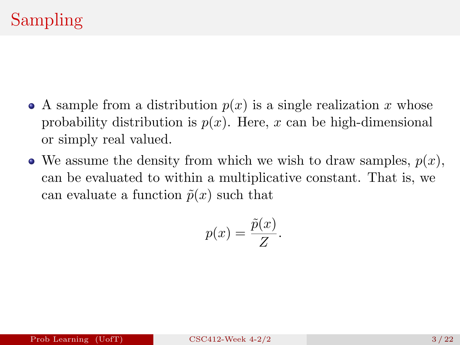- A sample from a distribution  $p(x)$  is a single realization x whose probability distribution is  $p(x)$ . Here, x can be high-dimensional or simply real valued.
- $\bullet$  We assume the density from which we wish to draw samples,  $p(x)$ , can be evaluated to within a multiplicative constant. That is, we can evaluate a function  $\tilde{p}(x)$  such that

$$
p(x) = \frac{\tilde{p}(x)}{Z}.
$$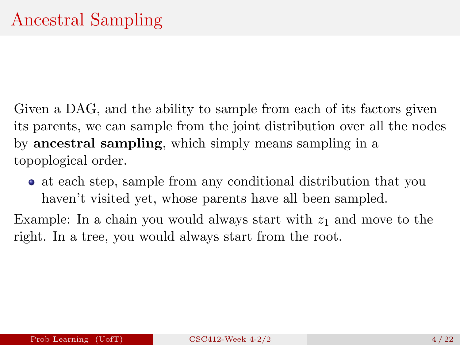Given a DAG, and the ability to sample from each of its factors given its parents, we can sample from the joint distribution over all the nodes by ancestral sampling, which simply means sampling in a topoplogical order.

at each step, sample from any conditional distribution that you haven't visited yet, whose parents have all been sampled.

Example: In a chain you would always start with  $z_1$  and move to the right. In a tree, you would always start from the root.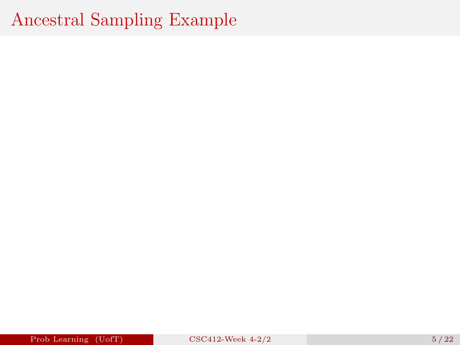### Ancestral Sampling Example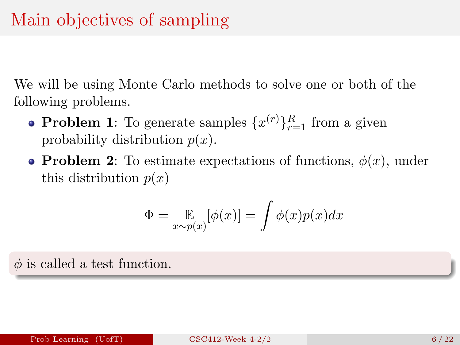We will be using Monte Carlo methods to solve one or both of the following problems.

- **Problem 1**: To generate samples  $\{x^{(r)}\}_{r=1}^R$  from a given probability distribution  $p(x)$ .
- **Problem 2**: To estimate expectations of functions,  $\phi(x)$ , under this distribution  $p(x)$

$$
\Phi = \mathop{\mathbb{E}}_{x \sim p(x)} [\phi(x)] = \int \phi(x) p(x) dx
$$

 $\phi$  is called a test function.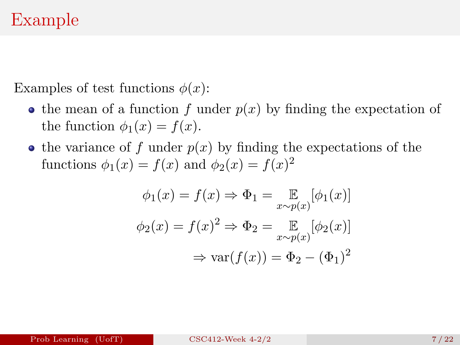Examples of test functions  $\phi(x)$ :

- the mean of a function f under  $p(x)$  by finding the expectation of the function  $\phi_1(x) = f(x)$ .
- the variance of f under  $p(x)$  by finding the expectations of the functions  $\phi_1(x) = f(x)$  and  $\phi_2(x) = f(x)^2$

$$
\phi_1(x) = f(x) \Rightarrow \Phi_1 = \mathop{\mathbb{E}}_{x \sim p(x)} [\phi_1(x)]
$$

$$
\phi_2(x) = f(x)^2 \Rightarrow \Phi_2 = \mathop{\mathbb{E}}_{x \sim p(x)} [\phi_2(x)]
$$

$$
\Rightarrow \text{var}(f(x)) = \Phi_2 - (\Phi_1)^2
$$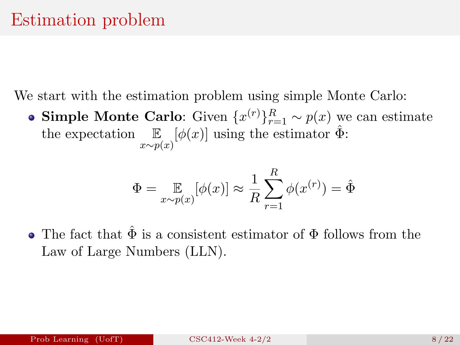We start with the estimation problem using simple Monte Carlo:

**Simple Monte Carlo:** Given  $\{x^{(r)}\}_{r=1}^R \sim p(x)$  we can estimate the expectation  $\mathbb{E}_{x \sim p(x)}[\phi(x)]$  using the estimator  $\hat{\Phi}$ :

$$
\Phi = \mathop{\mathbb{E}}_{x \sim p(x)} [\phi(x)] \approx \frac{1}{R} \sum_{r=1}^{R} \phi(x^{(r)}) = \hat{\Phi}
$$

• The fact that  $\hat{\Phi}$  is a consistent estimator of  $\Phi$  follows from the Law of Large Numbers (LLN).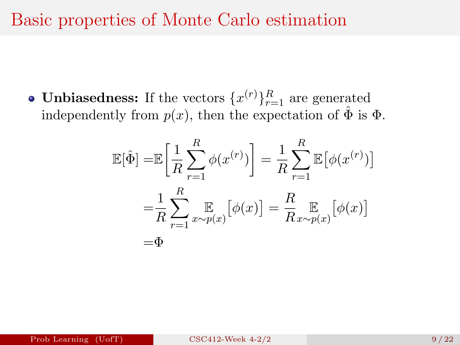#### Basic properties of Monte Carlo estimation

**Unbiasedness:** If the vectors  $\{x^{(r)}\}_{r=1}^R$  are generated independently from  $p(x)$ , then the expectation of  $\hat{\Phi}$  is  $\Phi$ .

$$
\mathbb{E}[\hat{\Phi}] = \mathbb{E}\left[\frac{1}{R}\sum_{r=1}^{R}\phi(x^{(r)})\right] = \frac{1}{R}\sum_{r=1}^{R}\mathbb{E}\left[\phi(x^{(r)})\right]
$$

$$
= \frac{1}{R}\sum_{r=1}^{R}\mathbb{E}\left[\sum_{x\sim p(x)}\left[\phi(x)\right]\right] = \frac{R}{R}\mathbb{E}\left[\sum_{x\sim p(x)}\left[\phi(x)\right]\right]
$$

$$
= \Phi
$$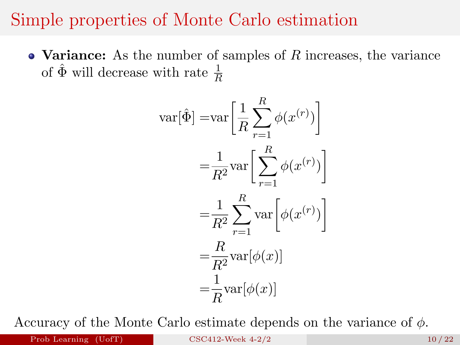#### Simple properties of Monte Carlo estimation

• Variance: As the number of samples of  $R$  increases, the variance of  $\hat{\Phi}$  will decrease with rate  $\frac{1}{R}$ 

$$
\begin{aligned}\n\text{var}[\hat{\Phi}] &= \text{var}\left[\frac{1}{R} \sum_{r=1}^{R} \phi(x^{(r)})\right] \\
&= \frac{1}{R^2} \text{var}\left[\sum_{r=1}^{R} \phi(x^{(r)})\right] \\
&= \frac{1}{R^2} \sum_{r=1}^{R} \text{var}\left[\phi(x^{(r)})\right] \\
&= \frac{R}{R^2} \text{var}[\phi(x)] \\
&= \frac{1}{R} \text{var}[\phi(x)]\n\end{aligned}
$$

Accuracy of the Monte Carlo estimate depends on the variance of  $\phi$ .

Prob Learning  $(UofT)$  [CSC412-Week 4-2/2](#page-0-0) 10 / 22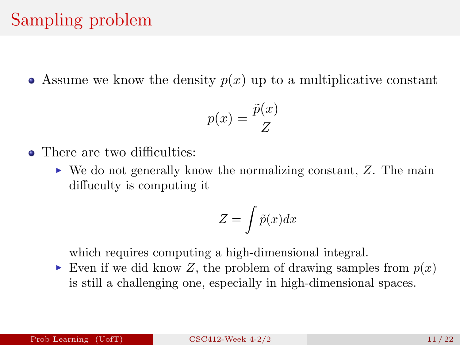### Sampling problem

• Assume we know the density  $p(x)$  up to a multiplicative constant

$$
p(x) = \frac{\tilde{p}(x)}{Z}
$$

- There are two difficulties:
	- $\triangleright$  We do not generally know the normalizing constant, Z. The main diffuculty is computing it

$$
Z = \int \tilde{p}(x) dx
$$

which requires computing a high-dimensional integral.

Even if we did know Z, the problem of drawing samples from  $p(x)$ is still a challenging one, especially in high-dimensional spaces.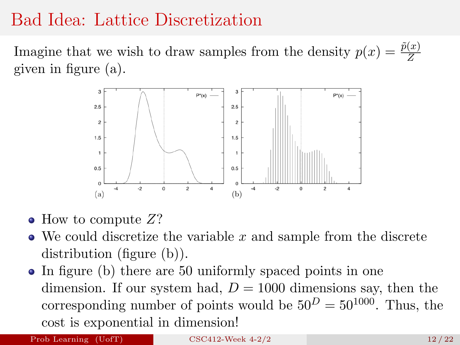#### Bad Idea: Lattice Discretization

Imagine that we wish to draw samples from the density  $p(x) = \frac{\tilde{p}(x)}{Z}$ given in figure (a).



- $\bullet$  How to compute  $Z$ ?
- $\bullet$  We could discretize the variable x and sample from the discrete distribution (figure (b)).
- In figure (b) there are 50 uniformly spaced points in one dimension. If our system had,  $D = 1000$  dimensions say, then the corresponding number of points would be  $50^D = 50^{1000}$ . Thus, the cost is exponential in dimension!

Prob Learning  $(UofT)$  [CSC412-Week 4-2/2](#page-0-0) 12 / 22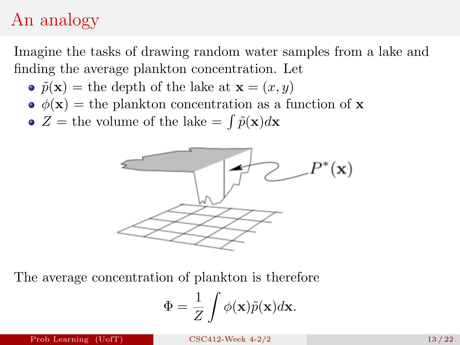# An analogy

Imagine the tasks of drawing random water samples from a lake and finding the average plankton concentration. Let

- $\tilde{p}(\mathbf{x}) =$  the depth of the lake at  $\mathbf{x} = (x, y)$
- $\phi(\mathbf{x}) =$  the plankton concentration as a function of **x**
- $Z =$  the volume of the lake  $= \int \tilde{p}(\mathbf{x})d\mathbf{x}$



The average concentration of plankton is therefore

$$
\Phi = \frac{1}{Z} \int \phi(\mathbf{x}) \tilde{p}(\mathbf{x}) d\mathbf{x}.
$$

Prob Learning (UofT)  $CSC412$ -Week  $4-2/2$  13  $/22$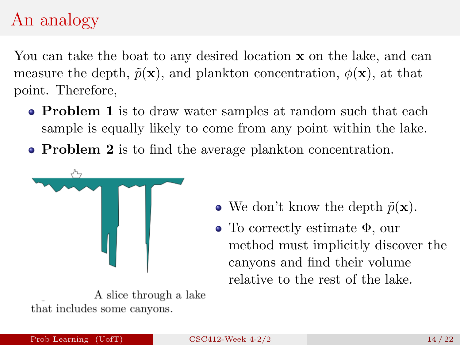# An analogy

You can take the boat to any desired location **x** on the lake, and can measure the depth,  $\tilde{p}(\mathbf{x})$ , and plankton concentration,  $\phi(\mathbf{x})$ , at that point. Therefore,

- **Problem 1** is to draw water samples at random such that each sample is equally likely to come from any point within the lake.
- **Problem 2** is to find the average plankton concentration.



A slice through a lake that includes some canyons.

- We don't know the depth  $\tilde{p}(\mathbf{x})$ .
- To correctly estimate Φ, our method must implicitly discover the canyons and find their volume relative to the rest of the lake.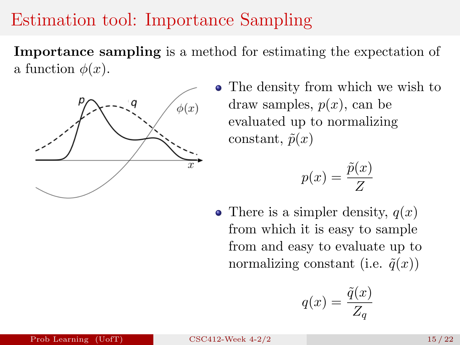### Estimation tool: Importance Sampling

Importance sampling is a method for estimating the expectation of a function  $\phi(x)$ .



• The density from which we wish to draw samples,  $p(x)$ , can be evaluated up to normalizing constant,  $\tilde{p}(x)$ 

$$
p(x) = \frac{\tilde{p}(x)}{Z}
$$

• There is a simpler density,  $q(x)$ from which it is easy to sample from and easy to evaluate up to normalizing constant (i.e.  $\tilde{q}(x)$ )

$$
q(x) = \frac{\tilde{q}(x)}{Z_q}
$$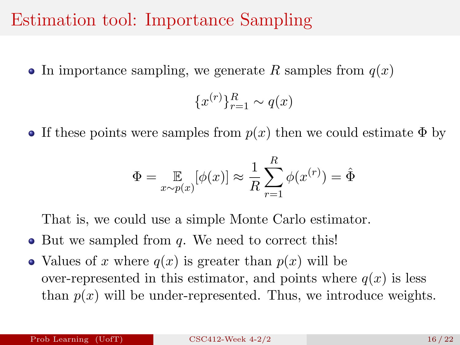#### Estimation tool: Importance Sampling

• In importance sampling, we generate R samples from  $q(x)$ 

$$
\{x^{(r)}\}_{r=1}^R \sim q(x)
$$

• If these points were samples from  $p(x)$  then we could estimate  $\Phi$  by

$$
\Phi = \mathop{\mathbb{E}}_{x \sim p(x)} [\phi(x)] \approx \frac{1}{R} \sum_{r=1}^{R} \phi(x^{(r)}) = \hat{\Phi}
$$

That is, we could use a simple Monte Carlo estimator.

- $\bullet$  But we sampled from q. We need to correct this!
- Values of x where  $q(x)$  is greater than  $p(x)$  will be over-represented in this estimator, and points where  $q(x)$  is less than  $p(x)$  will be under-represented. Thus, we introduce weights.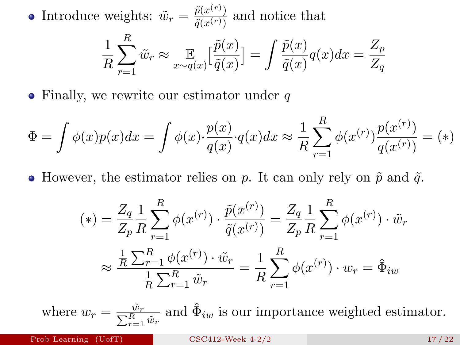Introduce weights:  $\tilde{w}_r = \frac{\tilde{p}(x^{(r)})}{\tilde{q}(x^{(r)})}$  $\frac{p(x^{(r)})}{\tilde{q}(x^{(r)})}$  and notice that 1 R  $\sum$ R  $r=1$  $\tilde{w}_r \approx \mathop{\mathbb{E}}_{x \sim q(x)}$  $\lceil \frac{\tilde{p}(x)}{2} \rceil$  $\tilde{q}(x)$  $]=\int \frac{\tilde{p}(x)}{\tilde{z}(x)}$  $\frac{\tilde{p}(x)}{\tilde{q}(x)}q(x)dx=\frac{Z_p}{Z_q}$  $Z_q$ 

 $\bullet$  Finally, we rewrite our estimator under q

$$
\Phi = \int \phi(x)p(x)dx = \int \phi(x) \cdot \frac{p(x)}{q(x)} \cdot q(x)dx \approx \frac{1}{R} \sum_{r=1}^{R} \phi(x^{(r)}) \frac{p(x^{(r)})}{q(x^{(r)})} = (*)
$$

• However, the estimator relies on p. It can only rely on  $\tilde{p}$  and  $\tilde{q}$ .

$$
(*) = \frac{Z_q}{Z_p} \frac{1}{R} \sum_{r=1}^{R} \phi(x^{(r)}) \cdot \frac{\tilde{p}(x^{(r)})}{\tilde{q}(x^{(r)})} = \frac{Z_q}{Z_p} \frac{1}{R} \sum_{r=1}^{R} \phi(x^{(r)}) \cdot \tilde{w}_r
$$

$$
\approx \frac{\frac{1}{R} \sum_{r=1}^{R} \phi(x^{(r)}) \cdot \tilde{w}_r}{\frac{1}{R} \sum_{r=1}^{R} \tilde{w}_r} = \frac{1}{R} \sum_{r=1}^{R} \phi(x^{(r)}) \cdot w_r = \hat{\Phi}_{iw}
$$

where  $w_r = \frac{\tilde{w}_r}{\sum_{r=1}^R \tilde{w}_r}$  and  $\hat{\Phi}_{iw}$  is our importance weighted estimator.

Prob Learning  $(Uo f T)$  [CSC412-Week 4-2/2](#page-0-0) 17/22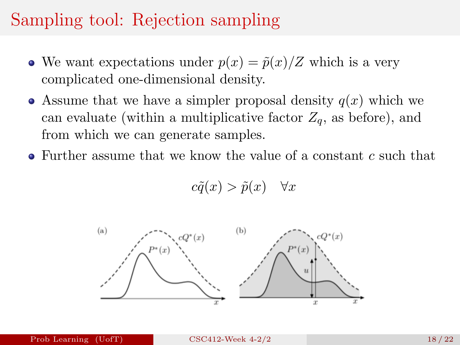### Sampling tool: Rejection sampling

- We want expectations under  $p(x) = \tilde{p}(x)/Z$  which is a very complicated one-dimensional density.
- Assume that we have a simpler proposal density  $q(x)$  which we can evaluate (within a multiplicative factor  $Z_a$ , as before), and from which we can generate samples.
- $\bullet$  Further assume that we know the value of a constant c such that

$$
c\tilde{q}(x) > \tilde{p}(x) \quad \forall x
$$

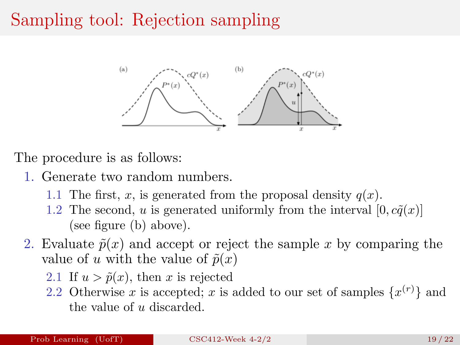# Sampling tool: Rejection sampling



The procedure is as follows:

- 1. Generate two random numbers.
	- 1.1 The first, x, is generated from the proposal density  $q(x)$ .
	- 1.2 The second, u is generated uniformly from the interval  $[0, c\tilde{q}(x)]$ (see figure (b) above).
- 2. Evaluate  $\tilde{p}(x)$  and accept or reject the sample x by comparing the value of u with the value of  $\tilde{p}(x)$ 
	- 2.1 If  $u > \tilde{p}(x)$ , then x is rejected
	- 2.2 Otherwise x is accepted; x is added to our set of samples  $\{x^{(r)}\}$  and the value of  $u$  discarded.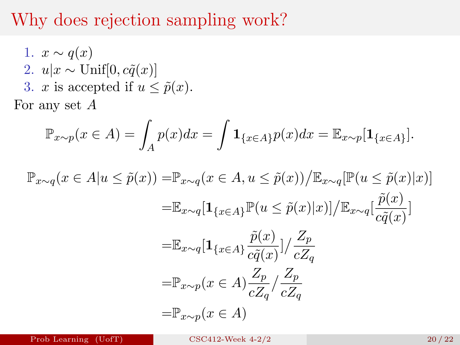#### Why does rejection sampling work?

1.  $x \sim q(x)$ 2.  $u|x \sim \text{Unif}[0, c\tilde{q}(x)]$ 3. x is accepted if  $u \leq \tilde{p}(x)$ .

For any set  $A$ 

$$
\mathbb{P}_{x \sim p}(x \in A) = \int_A p(x)dx = \int \mathbf{1}_{\{x \in A\}} p(x)dx = \mathbb{E}_{x \sim p}[\mathbf{1}_{\{x \in A\}}].
$$

$$
\mathbb{P}_{x \sim q}(x \in A | u \leq \tilde{p}(x)) = \mathbb{P}_{x \sim q}(x \in A, u \leq \tilde{p}(x)) / \mathbb{E}_{x \sim q}[\mathbb{P}(u \leq \tilde{p}(x)|x)]
$$
  
\n
$$
= \mathbb{E}_{x \sim q}[\mathbf{1}_{\{x \in A\}} \mathbb{P}(u \leq \tilde{p}(x)|x)] / \mathbb{E}_{x \sim q}[\frac{\tilde{p}(x)}{c\tilde{q}(x)}]
$$
  
\n
$$
= \mathbb{E}_{x \sim q}[\mathbf{1}_{\{x \in A\}} \frac{\tilde{p}(x)}{c\tilde{q}(x)}] / \frac{Z_p}{cZ_q}
$$
  
\n
$$
= \mathbb{P}_{x \sim p}(x \in A) \frac{Z_p}{cZ_q} / \frac{Z_p}{cZ_q}
$$
  
\n
$$
= \mathbb{P}_{x \sim p}(x \in A)
$$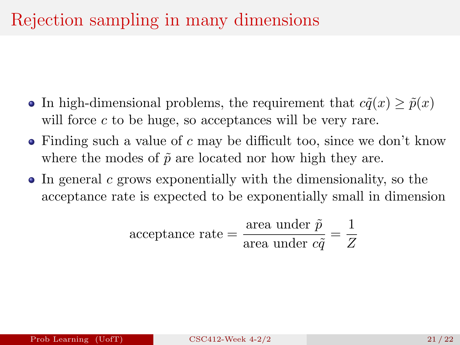- In high-dimensional problems, the requirement that  $c\tilde{q}(x) \geq \tilde{p}(x)$ will force  $c$  to be huge, so acceptances will be very rare.
- $\bullet$  Finding such a value of c may be difficult too, since we don't know where the modes of  $\tilde{p}$  are located nor how high they are.
- In general c grows exponentially with the dimensionality, so the acceptance rate is expected to be exponentially small in dimension

acceptance rate = 
$$
\frac{\text{area under } \tilde{p}}{\text{area under } c\tilde{q}} = \frac{1}{Z}
$$